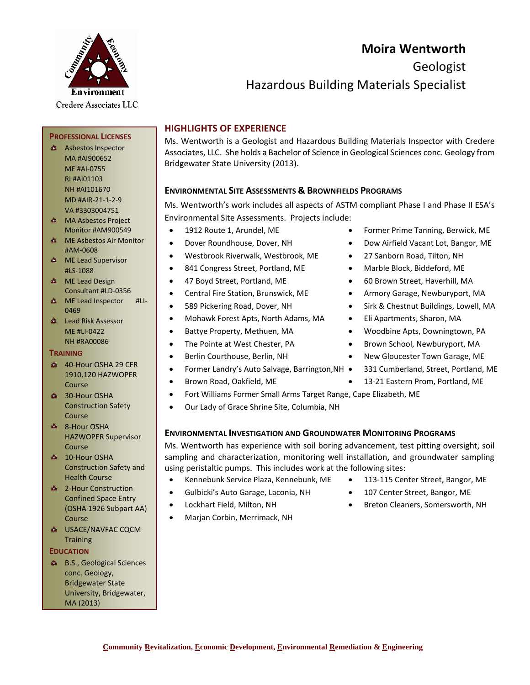# Environment Credere Associates LLC

# **Moira Wentworth**

Geologist

### Hazardous Building Materials Specialist

#### **HIGHLIGHTS OF EXPERIENCE**

Ms. Wentworth is a Geologist and Hazardous Building Materials Inspector with Credere Associates, LLC. She holds a Bachelor of Science in Geological Sciences conc. Geology from Bridgewater State University (2013).

#### **ENVIRONMENTAL SITE ASSESSMENTS & BROWNFIELDS PROGRAMS**

Ms. Wentworth's work includes all aspects of ASTM compliant Phase I and Phase II ESA's Environmental Site Assessments. Projects include:

- 
- 
- Westbrook Riverwalk, Westbrook, ME 27 Sanborn Road, Tilton, NH
- 
- 
- 
- 
- Mohawk Forest Apts, North Adams, MA Eli Apartments, Sharon, MA
- 
- 
- 
- Former Landry's Auto Salvage, Barrington, NH 331 Cumberland, Street, Portland, ME
- 
- Fort Williams Former Small Arms Target Range, Cape Elizabeth, ME
- Our Lady of Grace Shrine Site, Columbia, NH

#### **ENVIRONMENTAL INVESTIGATION AND GROUNDWATER MONITORING PROGRAMS**

Ms. Wentworth has experience with soil boring advancement, test pitting oversight, soil sampling and characterization, monitoring well installation, and groundwater sampling using peristaltic pumps. This includes work at the following sites:

- Kennebunk Service Plaza, Kennebunk, ME 113-115 Center Street, Bangor, ME
- Gulbicki's Auto Garage, Laconia, NH 107 Center Street, Bangor, ME
- 
- Marjan Corbin, Merrimack, NH
- 
- 
- Lockhart Field, Milton, NH Breton Cleaners, Somersworth, NH

NH #AI101670 MD #AIR-21-1-2-9 VA #3303004751 **A** MA Asbestos Project

**PROFESSIONAL LICENSES** Asbestos Inspector MA #AI900652 ME #AI-0755 RI #AI01103

- Monitor #AM900549
- **ME Asbestos Air Monitor** #AM-0608
- **A** ME Lead Supervisor #LS-1088
- **A** ME Lead Design Consultant #LD-0356
- **ME Lead Inspector #LI-**0469
- **A** Lead Risk Assessor ME #LI-0422 NH #RA00086

#### **TRAINING**

- 40-Hour OSHA 29 CFR 1910.120 HAZWOPER Course
- **30-Hour OSHA** Construction Safety Course
- **4 8-Hour OSHA** HAZWOPER Supervisor Course
- **4 10-Hour OSHA** Construction Safety and Health Course
- <sup>2</sup> 2-Hour Construction Confined Space Entry (OSHA 1926 Subpart AA) Course
- USACE/NAVFAC CQCM **Training**

#### **EDUCATION**

**A** B.S., Geological Sciences conc. Geology, Bridgewater State University, Bridgewater, MA (2013)

- 1912 Route 1, Arundel, ME Former Prime Tanning, Berwick, ME
- Dover Roundhouse, Dover, NH Dow Airfield Vacant Lot, Bangor, ME
	-
- 841 Congress Street, Portland, ME Marble Block, Biddeford, ME
- 47 Boyd Street, Portland, ME 60 Brown Street, Haverhill, MA
- Central Fire Station, Brunswick, ME Armory Garage, Newburyport, MA
- 589 Pickering Road, Dover, NH Sirk & Chestnut Buildings, Lowell, MA
	-
- Battye Property, Methuen, MA Woodbine Apts, Downingtown, PA
- The Pointe at West Chester, PA Brown School, Newburyport, MA
- Berlin Courthouse, Berlin, NH New Gloucester Town Garage, ME
	-
- Brown Road, Oakfield, ME 13-21 Eastern Prom, Portland, ME